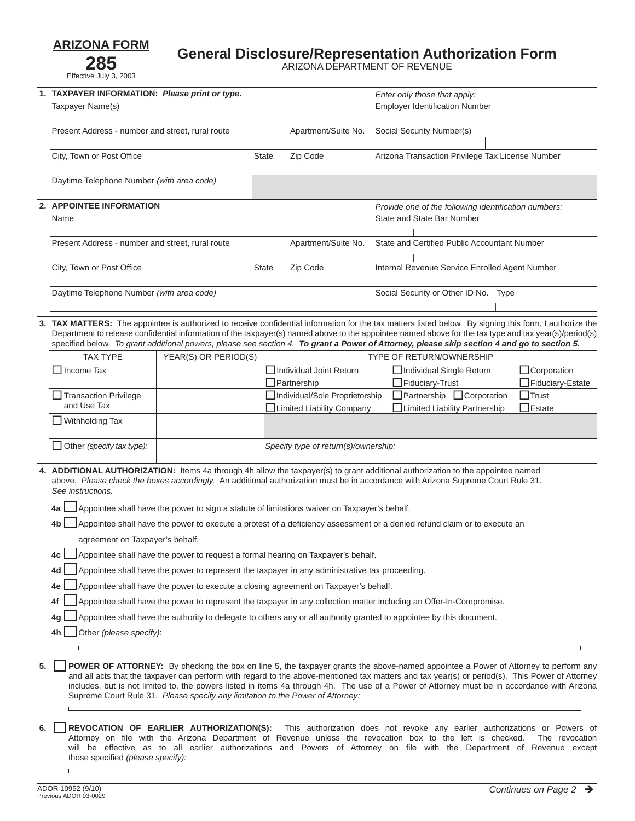**ARIZONA FORM 285** Effective July 3, 2003

## **General Disclosure/Representation Authorization Form**

ARIZONA DEPARTMENT OF REVENUE

| 1. | TAXPAYER INFORMATION: Please print or type.                                                                                                                                                                                                                                                                                                                                                                                                                                                                                                                                                                                                                                                                                                                                                                                                                                                                                                                                                                                                                                                                                                                   |                                                                    |              |                                                           | Enter only those that apply:                         |                                 |  |
|----|---------------------------------------------------------------------------------------------------------------------------------------------------------------------------------------------------------------------------------------------------------------------------------------------------------------------------------------------------------------------------------------------------------------------------------------------------------------------------------------------------------------------------------------------------------------------------------------------------------------------------------------------------------------------------------------------------------------------------------------------------------------------------------------------------------------------------------------------------------------------------------------------------------------------------------------------------------------------------------------------------------------------------------------------------------------------------------------------------------------------------------------------------------------|--------------------------------------------------------------------|--------------|-----------------------------------------------------------|------------------------------------------------------|---------------------------------|--|
|    | Taxpayer Name(s)                                                                                                                                                                                                                                                                                                                                                                                                                                                                                                                                                                                                                                                                                                                                                                                                                                                                                                                                                                                                                                                                                                                                              |                                                                    |              |                                                           | <b>Employer Identification Number</b>                |                                 |  |
|    | Present Address - number and street, rural route                                                                                                                                                                                                                                                                                                                                                                                                                                                                                                                                                                                                                                                                                                                                                                                                                                                                                                                                                                                                                                                                                                              |                                                                    |              | Apartment/Suite No.                                       | Social Security Number(s)                            |                                 |  |
|    | City, Town or Post Office                                                                                                                                                                                                                                                                                                                                                                                                                                                                                                                                                                                                                                                                                                                                                                                                                                                                                                                                                                                                                                                                                                                                     |                                                                    | <b>State</b> | Zip Code                                                  | Arizona Transaction Privilege Tax License Number     |                                 |  |
|    | Daytime Telephone Number (with area code)                                                                                                                                                                                                                                                                                                                                                                                                                                                                                                                                                                                                                                                                                                                                                                                                                                                                                                                                                                                                                                                                                                                     |                                                                    |              |                                                           |                                                      |                                 |  |
| 2. | <b>APPOINTEE INFORMATION</b><br>Provide one of the following identification numbers:                                                                                                                                                                                                                                                                                                                                                                                                                                                                                                                                                                                                                                                                                                                                                                                                                                                                                                                                                                                                                                                                          |                                                                    |              |                                                           |                                                      |                                 |  |
|    | Name                                                                                                                                                                                                                                                                                                                                                                                                                                                                                                                                                                                                                                                                                                                                                                                                                                                                                                                                                                                                                                                                                                                                                          |                                                                    |              |                                                           | State and State Bar Number                           |                                 |  |
|    |                                                                                                                                                                                                                                                                                                                                                                                                                                                                                                                                                                                                                                                                                                                                                                                                                                                                                                                                                                                                                                                                                                                                                               |                                                                    |              |                                                           |                                                      |                                 |  |
|    | Present Address - number and street, rural route                                                                                                                                                                                                                                                                                                                                                                                                                                                                                                                                                                                                                                                                                                                                                                                                                                                                                                                                                                                                                                                                                                              |                                                                    |              | Apartment/Suite No.                                       | State and Certified Public Accountant Number         |                                 |  |
|    | City, Town or Post Office<br><b>State</b>                                                                                                                                                                                                                                                                                                                                                                                                                                                                                                                                                                                                                                                                                                                                                                                                                                                                                                                                                                                                                                                                                                                     |                                                                    | Zip Code     | Internal Revenue Service Enrolled Agent Number            |                                                      |                                 |  |
|    | Daytime Telephone Number (with area code)                                                                                                                                                                                                                                                                                                                                                                                                                                                                                                                                                                                                                                                                                                                                                                                                                                                                                                                                                                                                                                                                                                                     |                                                                    |              |                                                           | Social Security or Other ID No. Type                 |                                 |  |
| 3. | TAX MATTERS: The appointee is authorized to receive confidential information for the tax matters listed below. By signing this form, I authorize the<br>Department to release confidential information of the taxpayer(s) named above to the appointee named above for the tax type and tax year(s)/period(s)<br>specified below. To grant additional powers, please see section 4. To grant a Power of Attorney, please skip section 4 and go to section 5.                                                                                                                                                                                                                                                                                                                                                                                                                                                                                                                                                                                                                                                                                                  |                                                                    |              |                                                           |                                                      |                                 |  |
|    | <b>TAX TYPE</b>                                                                                                                                                                                                                                                                                                                                                                                                                                                                                                                                                                                                                                                                                                                                                                                                                                                                                                                                                                                                                                                                                                                                               | YEAR(S) OR PERIOD(S)                                               |              |                                                           | <b>TYPE OF RETURN/OWNERSHIP</b>                      |                                 |  |
|    | $\Box$ Income Tax                                                                                                                                                                                                                                                                                                                                                                                                                                                                                                                                                                                                                                                                                                                                                                                                                                                                                                                                                                                                                                                                                                                                             |                                                                    |              | Individual Joint Return<br>Partnership                    | □ Individual Single Return<br>$\Box$ Fiduciary-Trust | Corporation<br>Fiduciary-Estate |  |
|    | $\Box$ Transaction Privilege<br>and Use Tax                                                                                                                                                                                                                                                                                                                                                                                                                                                                                                                                                                                                                                                                                                                                                                                                                                                                                                                                                                                                                                                                                                                   | Individual/Sole Proprietorship<br><b>Limited Liability Company</b> |              | Partnership Corporation<br>ILimited Liability Partnership | $\Box$ Trust<br>$\Box$ Estate                        |                                 |  |
|    | Withholding Tax                                                                                                                                                                                                                                                                                                                                                                                                                                                                                                                                                                                                                                                                                                                                                                                                                                                                                                                                                                                                                                                                                                                                               |                                                                    |              |                                                           |                                                      |                                 |  |
|    | $\Box$ Other (specify tax type):                                                                                                                                                                                                                                                                                                                                                                                                                                                                                                                                                                                                                                                                                                                                                                                                                                                                                                                                                                                                                                                                                                                              | Specify type of return(s)/ownership:                               |              |                                                           |                                                      |                                 |  |
|    | 4. ADDITIONAL AUTHORIZATION: Items 4a through 4h allow the taxpayer(s) to grant additional authorization to the appointee named<br>above. Please check the boxes accordingly. An additional authorization must be in accordance with Arizona Supreme Court Rule 31.<br>See instructions.<br>Appointee shall have the power to sign a statute of limitations waiver on Taxpayer's behalf.<br>4a<br>Appointee shall have the power to execute a protest of a deficiency assessment or a denied refund claim or to execute an<br>4b<br>agreement on Taxpayer's behalf.<br>4c Appointee shall have the power to request a formal hearing on Taxpayer's behalf.<br>Appointee shall have the power to represent the taxpayer in any administrative tax proceeding.<br>4d  <br>Appointee shall have the power to execute a closing agreement on Taxpayer's behalf.<br>4e<br>4f<br>Appointee shall have the power to represent the taxpayer in any collection matter including an Offer-In-Compromise.<br>Appointee shall have the authority to delegate to others any or all authority granted to appointee by this document.<br>4g<br>Other (please specify):<br>4h |                                                                    |              |                                                           |                                                      |                                 |  |
| 5. | POWER OF ATTORNEY: By checking the box on line 5, the taxpayer grants the above-named appointee a Power of Attorney to perform any<br>and all acts that the taxpayer can perform with regard to the above-mentioned tax matters and tax year(s) or period(s). This Power of Attorney<br>includes, but is not limited to, the powers listed in items 4a through 4h. The use of a Power of Attorney must be in accordance with Arizona<br>Supreme Court Rule 31. Please specify any limitation to the Power of Attorney:                                                                                                                                                                                                                                                                                                                                                                                                                                                                                                                                                                                                                                        |                                                                    |              |                                                           |                                                      |                                 |  |

will be effective as to all earlier authorizations and Powers of Attorney on file with the Department of Revenue except

 $\overline{L}$ 

 $\sqcup$